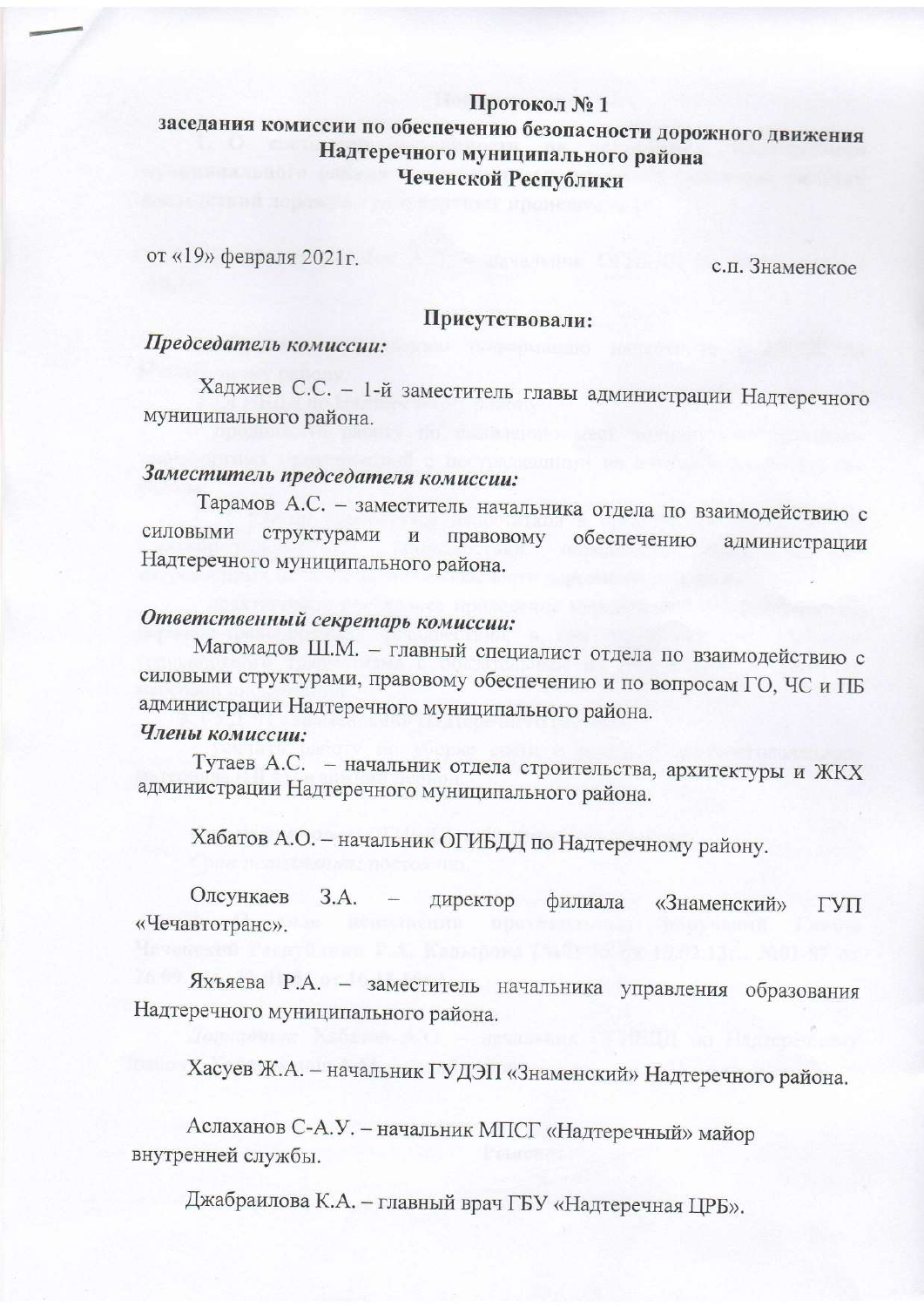# Протокол №1 заседания комиссии по обеспечению безопасности дорожного движения Надтеречного муниципального района Чеченской Республики

от «19» февраля 2021г.

с.п. Знаменское

#### Присутствовали:

## Председатель комиссии:

Хаджиев С.С. - 1-й заместитель главы администрации Надтеречного муниципального района.

# Заместитель председателя комиссии:

Тарамов А.С. - заместитель начальника отдела по взаимодействию с силовыми структурами  $\,$  M правовому обеспечению администрации Надтеречного муниципального района.

# Ответственный секретарь комиссии:

Магомадов Ш.М. - главный специалист отдела по взаимодействию с силовыми структурами, правовому обеспечению и по вопросам ГО, ЧС и ПБ администрации Надтеречного муниципального района.

## Члены комиссии:

Тутаев А.С. - начальник отдела строительства, архитектуры и ЖКХ администрации Надтеречного муниципального района.

Хабатов А.О. - начальник ОГИБДД по Надтеречному району.

Олсункаев 3.A. директор филиала «Знаменский» ГУП «Чечавтотранс».

Яхъяева Р.А. - заместитель начальника управления образования Надтеречного муниципального района.

Хасуев Ж.А. - начальник ГУДЭП «Знаменский» Надтеречного района.

Аслаханов С-А.У. - начальник МПСГ «Надтеречный» майор внутренней службы.

Джабраилова К.А. - главный врач ГБУ «Надтеречная ЦРБ».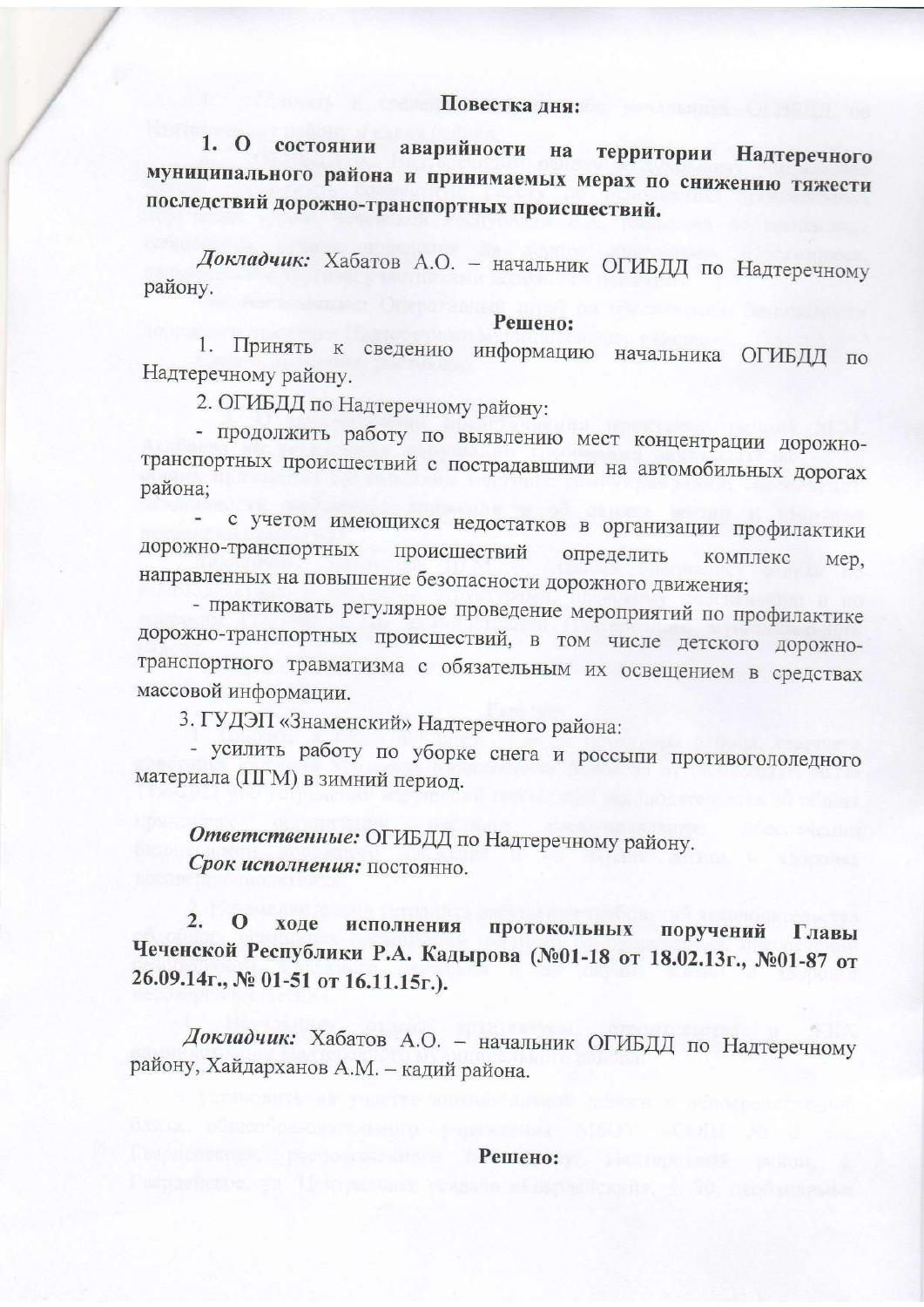## Повестка дня:

 $1.0$ состоянии аварийности на территории Надтеречного муниципального района и принимаемых мерах по снижению тяжести последствий дорожно-транспортных происшествий.

Докладчик: Хабатов А.О. - начальник ОГИБДД по Надтеречному району.

### Решено:

Принять к 1. информацию начальника ОГИБДД по сведению Надтеречному району.

2. ОГИБДД по Надтеречному району:

- продолжить работу по выявлению мест концентрации дорожнотранспортных происшествий с пострадавшими на автомобильных дорогах района;

с учетом имеющихся недостатков в организации профилактики дорожно-транспортных происшествий определить комплекс мер, направленных на повышение безопасности дорожного движения;

- практиковать регулярное проведение мероприятий по профилактике дорожно-транспортных происшествий, в том числе детского дорожнотранспортного травматизма с обязательным их освещением в средствах массовой информации.

3. ГУДЭП «Знаменский» Надтеречного района:

- усилить работу по уборке снега и россыпи противогололедного материала (ПГМ) в зимний период.

Ответственные: ОГИБДД по Надтеречному району. Срок исполнения: постоянно.

 $\overline{2}$ . ходе исполнения протокольных поручений Главы Чеченской Республики Р.А. Кадырова (№01-18 от 18.02.13г., №01-87 от 26.09.14г., № 01-51 от 16.11.15г.).

Докладчик: Хабатов А.О. - начальник ОГИБДД по Надтеречному району, Хайдарханов А.М. - кадий района.

Решено: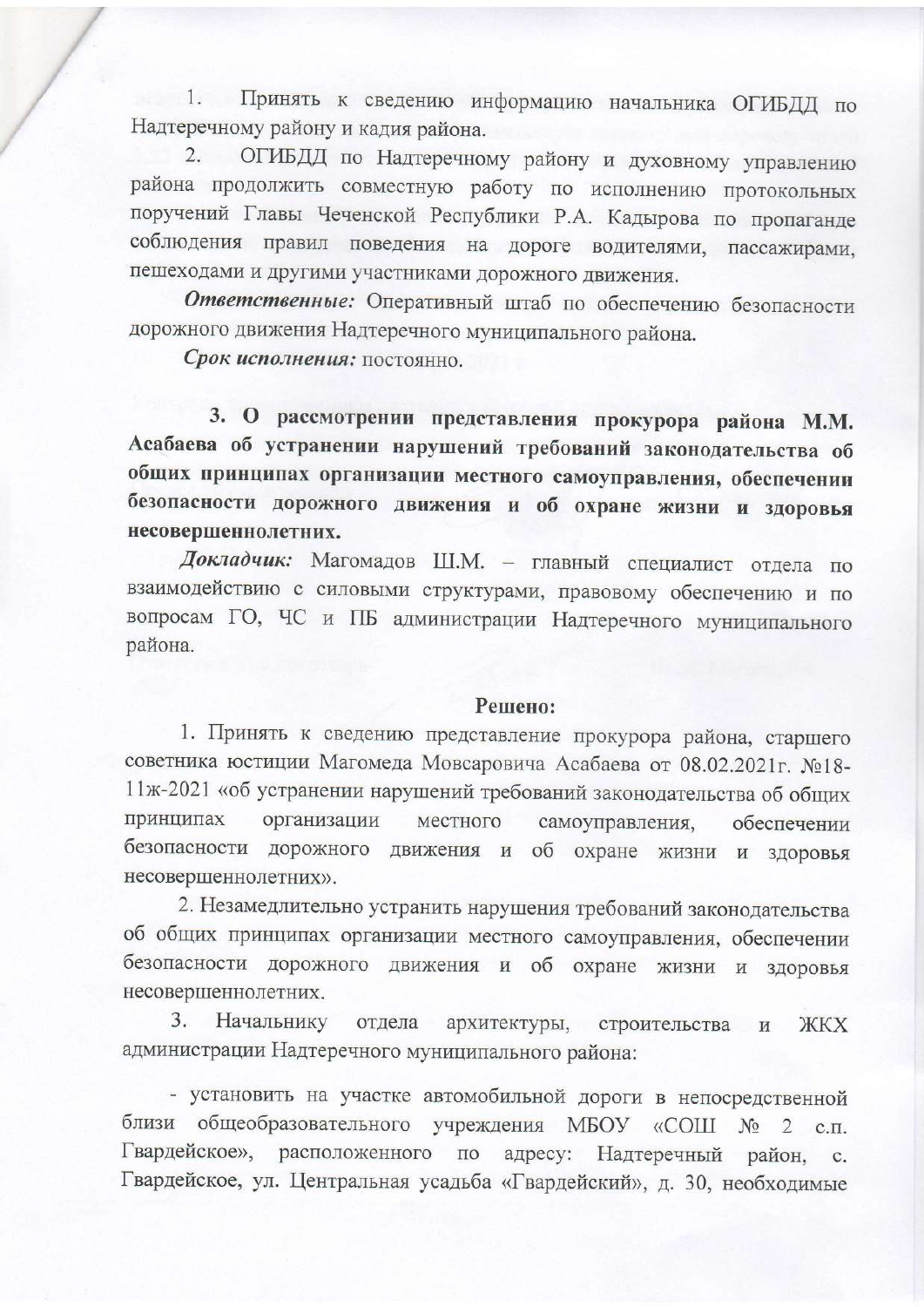1. Принять к сведению информацию начальника ОГИБДД по Надтеречному району и кадия района.

2. ОГИБДД по Надтеречному району и духовному управлению района продолжить совместную работу по исполнению протокольных поручений Главы Чеченской Республики Р.А. Кадырова по пропаганде соблюдения правил поведения на дороге водителями, пассажирами, пешеходами и другими участниками дорожного движения.

Ответственные: Оперативный штаб по обеспечению безопасности дорожного движения Надтеречного муниципального района.

Срок исполнения: постоянно.

3. О рассмотрении представления прокурора района М.М. Асабаева об устранении нарушений требований законодательства об общих принципах организации местного самоуправления, обеспечении безопасности дорожного движения и об охране жизни и здоровья несовершеннолетних.

Докладчик: Магомадов Ш.М. - главный специалист отдела по взаимодействию с силовыми структурами, правовому обеспечению и по вопросам ГО, ЧС и ПБ администрации Надтеречного муниципального района.

### Решено:

1. Принять к сведению представление прокурора района, старшего советника юстиции Магомеда Мовсаровича Асабаева от 08.02.2021г. №18-11ж-2021 «об устранении нарушений требований законодательства об общих принципах организации местного самоуправления, обеспечении безопасности дорожного движения и об охране жизни и здоровья несовершеннолетних».

2. Незамедлительно устранить нарушения требований законодательства об общих принципах организации местного самоуправления, обеспечении безопасности дорожного движения и об охране жизни и здоровья несовершеннолетних.

3. Начальнику отдела архитектуры, строительства **ЖKX** и администрации Надтеречного муниципального района:

- установить на участке автомобильной дороги в непосредственной близи общеобразовательного учреждения МБОУ «СОШ  $N_2$  2 c.m. Гвардейское». расположенного по адресу: Надтеречный район, c. Гвардейское, ул. Центральная усадьба «Гвардейский», д. 30, необходимые